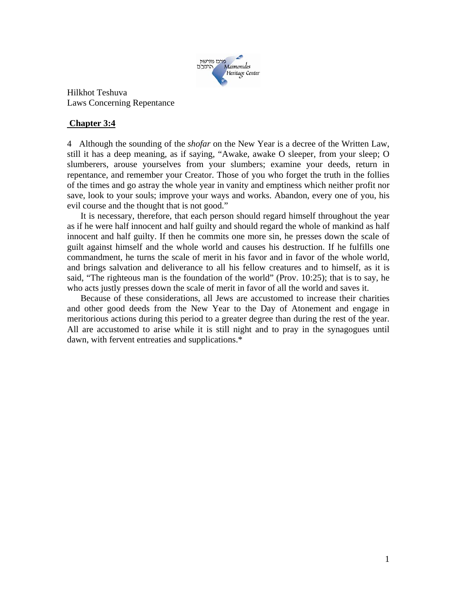

Hilkhot Teshuva Laws Concerning Repentance

# **Chapter 3:4**

4 Although the sounding of the *shofar* on the New Year is a decree of the Written Law, still it has a deep meaning, as if saying, "Awake, awake O sleeper, from your sleep; O slumberers, arouse yourselves from your slumbers; examine your deeds, return in repentance, and remember your Creator. Those of you who forget the truth in the follies of the times and go astray the whole year in vanity and emptiness which neither profit nor save, look to your souls; improve your ways and works. Abandon, every one of you, his evil course and the thought that is not good."

 It is necessary, therefore, that each person should regard himself throughout the year as if he were half innocent and half guilty and should regard the whole of mankind as half innocent and half guilty. If then he commits one more sin, he presses down the scale of guilt against himself and the whole world and causes his destruction. If he fulfills one commandment, he turns the scale of merit in his favor and in favor of the whole world, and brings salvation and deliverance to all his fellow creatures and to himself, as it is said, "The righteous man is the foundation of the world" (Prov. 10:25); that is to say, he who acts justly presses down the scale of merit in favor of all the world and saves it.

 Because of these considerations, all Jews are accustomed to increase their charities and other good deeds from the New Year to the Day of Atonement and engage in meritorious actions during this period to a greater degree than during the rest of the year. All are accustomed to arise while it is still night and to pray in the synagogues until dawn, with fervent entreaties and supplications.\*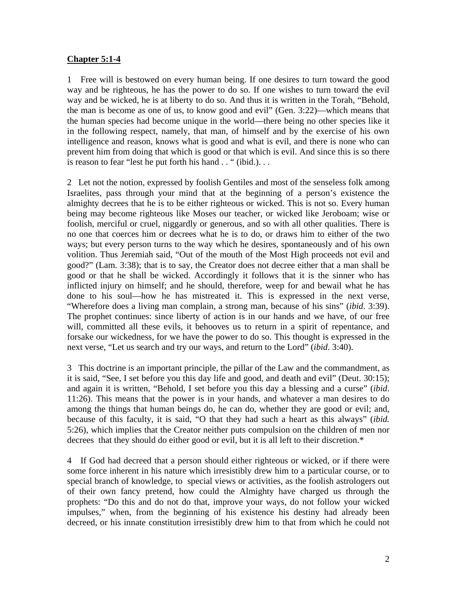# **Chapter 5:1-4**

1 Free will is bestowed on every human being. If one desires to turn toward the good way and be righteous, he has the power to do so. If one wishes to turn toward the evil way and be wicked, he is at liberty to do so. And thus it is written in the Torah, "Behold, the man is become as one of us, to know good and evil" (Gen. 3:22)—which means that the human species had become unique in the world—there being no other species like it in the following respect, namely, that man, of himself and by the exercise of his own intelligence and reason, knows what is good and what is evil, and there is none who can prevent him from doing that which is good or that which is evil. And since this is so there is reason to fear "lest he put forth his hand . . " (ibid.). . .

2 Let not the notion, expressed by foolish Gentiles and most of the senseless folk among Israelites, pass through your mind that at the beginning of a person's existence the almighty decrees that he is to be either righteous or wicked. This is not so. Every human being may become righteous like Moses our teacher, or wicked like Jeroboam; wise or foolish, merciful or cruel, niggardly or generous, and so with all other qualities. There is no one that coerces him or decrees what he is to do, or draws him to either of the two ways; but every person turns to the way which he desires, spontaneously and of his own volition. Thus Jeremiah said, "Out of the mouth of the Most High proceeds not evil and good?" (Lam. 3:38); that is to say, the Creator does not decree either that a man shall be good or that he shall be wicked. Accordingly it follows that it is the sinner who has inflicted injury on himself; and he should, therefore, weep for and bewail what he has done to his soul—how he has mistreated it. This is expressed in the next verse, "Wherefore does a living man complain, a strong man, because of his sins" (*ibid*. 3:39). The prophet continues: since liberty of action is in our hands and we have, of our free will, committed all these evils, it behooves us to return in a spirit of repentance, and forsake our wickedness, for we have the power to do so. This thought is expressed in the next verse, "Let us search and try our ways, and return to the Lord" (*ibid*. 3:40).

3 This doctrine is an important principle, the pillar of the Law and the commandment, as it is said, "See, I set before you this day life and good, and death and evil" (Deut. 30:15); and again it is written, "Behold, I set before you this day a blessing and a curse" (*ibid*. 11:26). This means that the power is in your hands, and whatever a man desires to do among the things that human beings do, he can do, whether they are good or evil; and, because of this faculty, it is said, "O that they had such a heart as this always" (*ibid.* 5:26), which implies that the Creator neither puts compulsion on the children of men nor decrees that they should do either good or evil, but it is all left to their discretion.\*

4 If God had decreed that a person should either righteous or wicked, or if there were some force inherent in his nature which irresistibly drew him to a particular course, or to special branch of knowledge, to special views or activities, as the foolish astrologers out of their own fancy pretend, how could the Almighty have charged us through the prophets: "Do this and do not do that, improve your ways, do not follow your wicked impulses," when, from the beginning of his existence his destiny had already been decreed, or his innate constitution irresistibly drew him to that from which he could not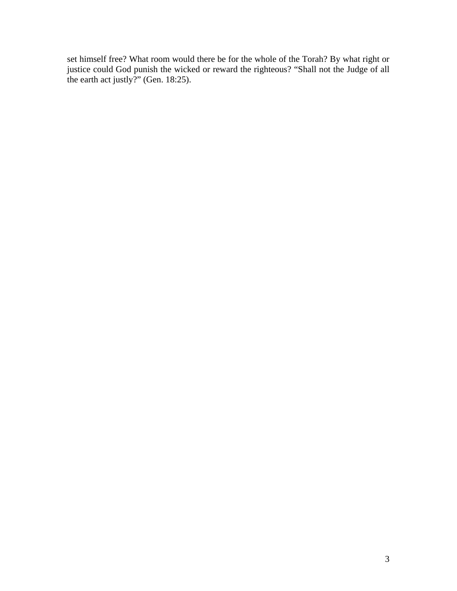set himself free? What room would there be for the whole of the Torah? By what right or justice could God punish the wicked or reward the righteous? "Shall not the Judge of all the earth act justly?" (Gen. 18:25).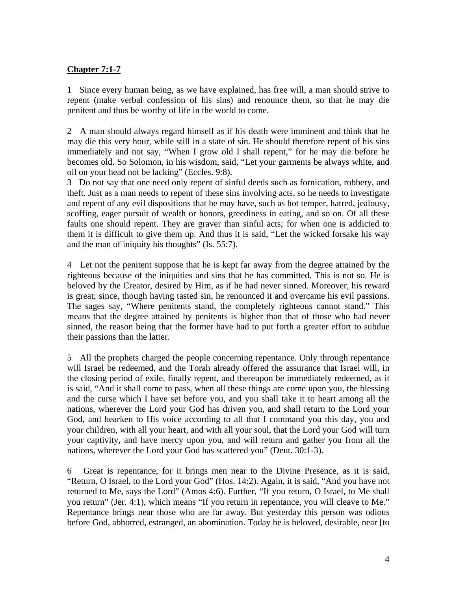# **Chapter 7:1-7**

1 Since every human being, as we have explained, has free will, a man should strive to repent (make verbal confession of his sins) and renounce them, so that he may die penitent and thus be worthy of life in the world to come.

2 A man should always regard himself as if his death were imminent and think that he may die this very hour, while still in a state of sin. He should therefore repent of his sins immediately and not say, "When I grow old I shall repent," for he may die before he becomes old. So Solomon, in his wisdom, said, "Let your garments be always white, and oil on your head not be lacking" (Eccles. 9:8).

3 Do not say that one need only repent of sinful deeds such as fornication, robbery, and theft. Just as a man needs to repent of these sins involving acts, so he needs to investigate and repent of any evil dispositions that he may have, such as hot temper, hatred, jealousy, scoffing, eager pursuit of wealth or honors, greediness in eating, and so on. Of all these faults one should repent. They are graver than sinful acts; for when one is addicted to them it is difficult to give them up. And thus it is said, "Let the wicked forsake his way and the man of iniquity his thoughts" (Is. 55:7).

4 Let not the penitent suppose that he is kept far away from the degree attained by the righteous because of the iniquities and sins that he has committed. This is not so. He is beloved by the Creator, desired by Him, as if he had never sinned. Moreover, his reward is great; since, though having tasted sin, he renounced it and overcame his evil passions. The sages say, "Where penitents stand, the completely righteous cannot stand." This means that the degree attained by penitents is higher than that of those who had never sinned, the reason being that the former have had to put forth a greater effort to subdue their passions than the latter.

5 All the prophets charged the people concerning repentance. Only through repentance will Israel be redeemed, and the Torah already offered the assurance that Israel will, in the closing period of exile, finally repent, and thereupon be immediately redeemed, as it is said, "And it shall come to pass, when all these things are come upon you, the blessing and the curse which I have set before you, and you shall take it to heart among all the nations, wherever the Lord your God has driven you, and shall return to the Lord your God, and hearken to His voice according to all that I command you this day, you and your children, with all your heart, and with all your soul, that the Lord your God will turn your captivity, and have mercy upon you, and will return and gather you from all the nations, wherever the Lord your God has scattered you" (Deut. 30:1-3).

6 Great is repentance, for it brings men near to the Divine Presence, as it is said, "Return, O Israel, to the Lord your God" (Hos. 14:2). Again, it is said, "And you have not returned to Me, says the Lord" (Amos 4:6). Further, "If you return, O Israel, to Me shall you return" (Jer. 4:1), which means "If you return in repentance, you will cleave to Me." Repentance brings near those who are far away. But yesterday this person was odious before God, abhorred, estranged, an abomination. Today he is beloved, desirable, near [to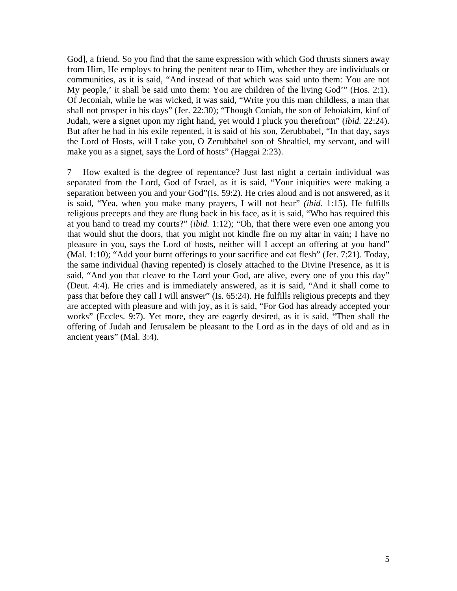God], a friend. So you find that the same expression with which God thrusts sinners away from Him, He employs to bring the penitent near to Him, whether they are individuals or communities, as it is said, "And instead of that which was said unto them: You are not My people,' it shall be said unto them: You are children of the living God'" (Hos. 2:1). Of Jeconiah, while he was wicked, it was said, "Write you this man childless, a man that shall not prosper in his days" (Jer. 22:30); "Though Coniah, the son of Jehoiakim, kinf of Judah, were a signet upon my right hand, yet would I pluck you therefrom" (*ibid.* 22:24). But after he had in his exile repented, it is said of his son, Zerubbabel, "In that day, says the Lord of Hosts, will I take you, O Zerubbabel son of Shealtiel, my servant, and will make you as a signet, says the Lord of hosts" (Haggai 2:23).

7 How exalted is the degree of repentance? Just last night a certain individual was separated from the Lord, God of Israel, as it is said, "Your iniquities were making a separation between you and your God"(Is. 59:2). He cries aloud and is not answered, as it is said, "Yea, when you make many prayers, I will not hear" *(ibid*. 1:15). He fulfills religious precepts and they are flung back in his face, as it is said, "Who has required this at you hand to tread my courts?" (*ibid.* 1:12); "Oh, that there were even one among you that would shut the doors, that you might not kindle fire on my altar in vain; I have no pleasure in you, says the Lord of hosts, neither will I accept an offering at you hand" (Mal. 1:10); "Add your burnt offerings to your sacrifice and eat flesh" (Jer. 7:21). Today, the same individual (having repented) is closely attached to the Divine Presence, as it is said, "And you that cleave to the Lord your God, are alive, every one of you this day" (Deut. 4:4). He cries and is immediately answered, as it is said, "And it shall come to pass that before they call I will answer" (Is. 65:24). He fulfills religious precepts and they are accepted with pleasure and with joy, as it is said, "For God has already accepted your works" (Eccles. 9:7). Yet more, they are eagerly desired, as it is said, "Then shall the offering of Judah and Jerusalem be pleasant to the Lord as in the days of old and as in ancient years" (Mal. 3:4).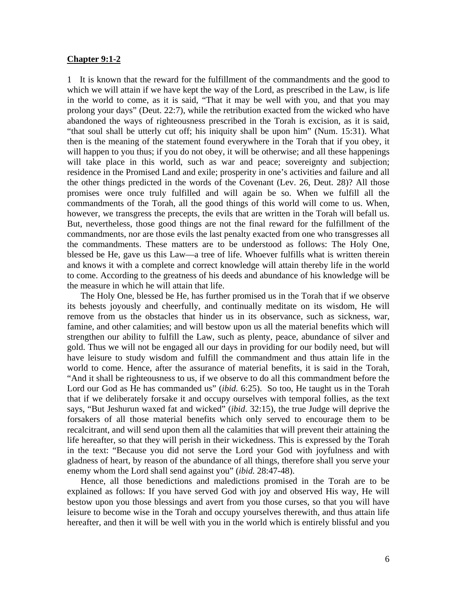#### **Chapter 9:1-2**

1 It is known that the reward for the fulfillment of the commandments and the good to which we will attain if we have kept the way of the Lord, as prescribed in the Law, is life in the world to come, as it is said, "That it may be well with you, and that you may prolong your days" (Deut. 22:7), while the retribution exacted from the wicked who have abandoned the ways of righteousness prescribed in the Torah is excision, as it is said, "that soul shall be utterly cut off; his iniquity shall be upon him" (Num. 15:31). What then is the meaning of the statement found everywhere in the Torah that if you obey, it will happen to you thus; if you do not obey, it will be otherwise; and all these happenings will take place in this world, such as war and peace; sovereignty and subjection; residence in the Promised Land and exile; prosperity in one's activities and failure and all the other things predicted in the words of the Covenant (Lev. 26, Deut. 28)? All those promises were once truly fulfilled and will again be so. When we fulfill all the commandments of the Torah, all the good things of this world will come to us. When, however, we transgress the precepts, the evils that are written in the Torah will befall us. But, nevertheless, those good things are not the final reward for the fulfillment of the commandments, nor are those evils the last penalty exacted from one who transgresses all the commandments. These matters are to be understood as follows: The Holy One, blessed be He, gave us this Law—a tree of life. Whoever fulfills what is written therein and knows it with a complete and correct knowledge will attain thereby life in the world to come. According to the greatness of his deeds and abundance of his knowledge will be the measure in which he will attain that life.

 The Holy One, blessed be He, has further promised us in the Torah that if we observe its behests joyously and cheerfully, and continually meditate on its wisdom, He will remove from us the obstacles that hinder us in its observance, such as sickness, war, famine, and other calamities; and will bestow upon us all the material benefits which will strengthen our ability to fulfill the Law, such as plenty, peace, abundance of silver and gold. Thus we will not be engaged all our days in providing for our bodily need, but will have leisure to study wisdom and fulfill the commandment and thus attain life in the world to come. Hence, after the assurance of material benefits, it is said in the Torah, "And it shall be righteousness to us, if we observe to do all this commandment before the Lord our God as He has commanded us" (*ibid.* 6:25). So too, He taught us in the Torah that if we deliberately forsake it and occupy ourselves with temporal follies, as the text says, "But Jeshurun waxed fat and wicked" (*ibid*. 32:15), the true Judge will deprive the forsakers of all those material benefits which only served to encourage them to be recalcitrant, and will send upon them all the calamities that will prevent their attaining the life hereafter, so that they will perish in their wickedness. This is expressed by the Torah in the text: "Because you did not serve the Lord your God with joyfulness and with gladness of heart, by reason of the abundance of all things, therefore shall you serve your enemy whom the Lord shall send against you" (*ibid.* 28:47-48).

 Hence, all those benedictions and maledictions promised in the Torah are to be explained as follows: If you have served God with joy and observed His way, He will bestow upon you those blessings and avert from you those curses, so that you will have leisure to become wise in the Torah and occupy yourselves therewith, and thus attain life hereafter, and then it will be well with you in the world which is entirely blissful and you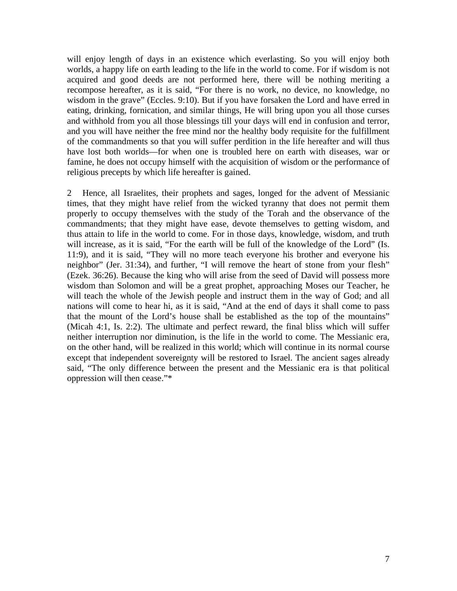will enjoy length of days in an existence which everlasting. So you will enjoy both worlds, a happy life on earth leading to the life in the world to come. For if wisdom is not acquired and good deeds are not performed here, there will be nothing meriting a recompose hereafter, as it is said, "For there is no work, no device, no knowledge, no wisdom in the grave" (Eccles. 9:10). But if you have forsaken the Lord and have erred in eating, drinking, fornication, and similar things, He will bring upon you all those curses and withhold from you all those blessings till your days will end in confusion and terror, and you will have neither the free mind nor the healthy body requisite for the fulfillment of the commandments so that you will suffer perdition in the life hereafter and will thus have lost both worlds—for when one is troubled here on earth with diseases, war or famine, he does not occupy himself with the acquisition of wisdom or the performance of religious precepts by which life hereafter is gained.

2 Hence, all Israelites, their prophets and sages, longed for the advent of Messianic times, that they might have relief from the wicked tyranny that does not permit them properly to occupy themselves with the study of the Torah and the observance of the commandments; that they might have ease, devote themselves to getting wisdom, and thus attain to life in the world to come. For in those days, knowledge, wisdom, and truth will increase, as it is said, "For the earth will be full of the knowledge of the Lord" (Is. 11:9), and it is said, "They will no more teach everyone his brother and everyone his neighbor" (Jer. 31:34), and further, "I will remove the heart of stone from your flesh" (Ezek. 36:26). Because the king who will arise from the seed of David will possess more wisdom than Solomon and will be a great prophet, approaching Moses our Teacher, he will teach the whole of the Jewish people and instruct them in the way of God; and all nations will come to hear hi, as it is said, "And at the end of days it shall come to pass that the mount of the Lord's house shall be established as the top of the mountains" (Micah 4:1, Is. 2:2). The ultimate and perfect reward, the final bliss which will suffer neither interruption nor diminution, is the life in the world to come. The Messianic era, on the other hand, will be realized in this world; which will continue in its normal course except that independent sovereignty will be restored to Israel. The ancient sages already said, "The only difference between the present and the Messianic era is that political oppression will then cease."\*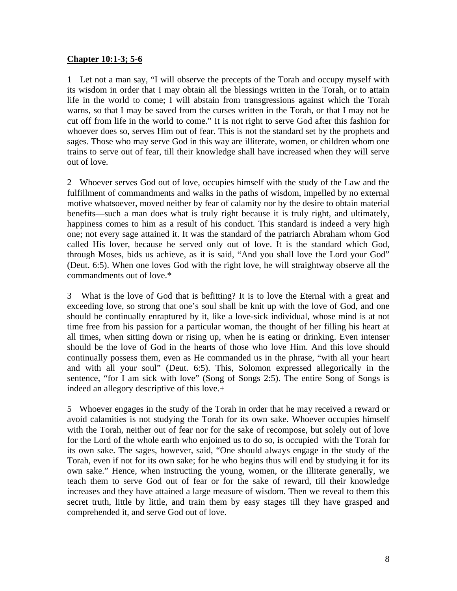### **Chapter 10:1-3; 5-6**

1 Let not a man say, "I will observe the precepts of the Torah and occupy myself with its wisdom in order that I may obtain all the blessings written in the Torah, or to attain life in the world to come; I will abstain from transgressions against which the Torah warns, so that I may be saved from the curses written in the Torah, or that I may not be cut off from life in the world to come." It is not right to serve God after this fashion for whoever does so, serves Him out of fear. This is not the standard set by the prophets and sages. Those who may serve God in this way are illiterate, women, or children whom one trains to serve out of fear, till their knowledge shall have increased when they will serve out of love.

2 Whoever serves God out of love, occupies himself with the study of the Law and the fulfillment of commandments and walks in the paths of wisdom, impelled by no external motive whatsoever, moved neither by fear of calamity nor by the desire to obtain material benefits—such a man does what is truly right because it is truly right, and ultimately, happiness comes to him as a result of his conduct. This standard is indeed a very high one; not every sage attained it. It was the standard of the patriarch Abraham whom God called His lover, because he served only out of love. It is the standard which God, through Moses, bids us achieve, as it is said, "And you shall love the Lord your God" (Deut. 6:5). When one loves God with the right love, he will straightway observe all the commandments out of love.\*

3 What is the love of God that is befitting? It is to love the Eternal with a great and exceeding love, so strong that one's soul shall be knit up with the love of God, and one should be continually enraptured by it, like a love-sick individual, whose mind is at not time free from his passion for a particular woman, the thought of her filling his heart at all times, when sitting down or rising up, when he is eating or drinking. Even intenser should be the love of God in the hearts of those who love Him. And this love should continually possess them, even as He commanded us in the phrase, "with all your heart and with all your soul" (Deut. 6:5). This, Solomon expressed allegorically in the sentence, "for I am sick with love" (Song of Songs 2:5). The entire Song of Songs is indeed an allegory descriptive of this love.+

5 Whoever engages in the study of the Torah in order that he may received a reward or avoid calamities is not studying the Torah for its own sake. Whoever occupies himself with the Torah, neither out of fear nor for the sake of recompose, but solely out of love for the Lord of the whole earth who enjoined us to do so, is occupied with the Torah for its own sake. The sages, however, said, "One should always engage in the study of the Torah, even if not for its own sake; for he who begins thus will end by studying it for its own sake." Hence, when instructing the young, women, or the illiterate generally, we teach them to serve God out of fear or for the sake of reward, till their knowledge increases and they have attained a large measure of wisdom. Then we reveal to them this secret truth, little by little, and train them by easy stages till they have grasped and comprehended it, and serve God out of love.